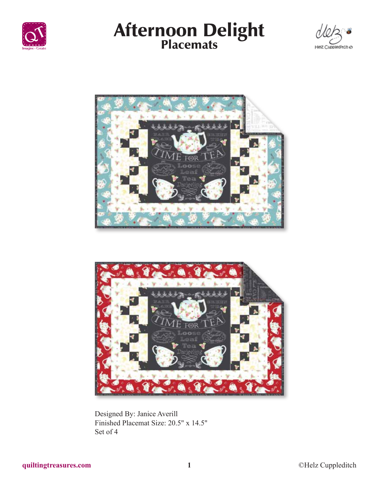









Designed By: Janice Averill Finished Placemat Size: 20.5" x 14.5" Set of 4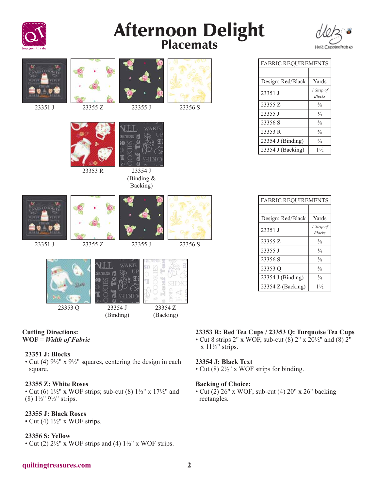

# Afternoon Delight<br>Placemats



| <b>ESA COO</b><br>23351 J | 23355 Z                             | 23355 J                                   | 23356 S              |
|---------------------------|-------------------------------------|-------------------------------------------|----------------------|
|                           | 23353 R                             | WAKE<br>23354 J<br>(Binding &<br>Backing) |                      |
| 23351 J                   | 23355 Z                             | 23355 J                                   | 23356 S              |
| 23353 Q                   | <b>OLDS</b><br>23354 J<br>(Binding) | WAKE                                      | 23354 Z<br>(Backing) |

### **Cutting Directions: WOF =** *Width of Fabric*

# **23351 J: Blocks**

• Cut (4)  $9\frac{1}{2}$ " x  $9\frac{1}{2}$ " squares, centering the design in each square.

# **23355 Z: White Roses**

• Cut (6)  $1\frac{1}{2}$ " x WOF strips; sub-cut (8)  $1\frac{1}{2}$ " x  $17\frac{1}{2}$ " and (8) 1½" 9½" strips.

# **23355 J: Black Roses**

• Cut (4)  $1\frac{1}{2}$ " x WOF strips.

# **23356 S: Yellow**

• Cut (2)  $2\frac{1}{2}$ " x WOF strips and (4)  $1\frac{1}{2}$ " x WOF strips.

# FABRIC REQUIREMENTS

| Design: Red/Black | Yards                       |
|-------------------|-----------------------------|
| 23351 J           | 1 Strip of<br><b>Blocks</b> |
| 23355 Z           | $\frac{3}{8}$               |
| 23355 J           | $\frac{1}{4}$               |
| 23356 S           | $\frac{3}{8}$               |
| 23353 R           | $\frac{5}{8}$               |
| 23354 J (Binding) | $\frac{3}{4}$               |
| 23354 J (Backing) | $1\frac{1}{2}$              |

| <b>FABRIC REQUIREMENTS</b> |                             |  |  |  |
|----------------------------|-----------------------------|--|--|--|
|                            |                             |  |  |  |
| Design: Red/Black          | Yards                       |  |  |  |
| 23351 J                    | 1 Strip of<br><b>Blocks</b> |  |  |  |
| 23355 Z                    | $\frac{3}{8}$               |  |  |  |
| 23355 J                    | $\frac{1}{4}$               |  |  |  |
| 23356 S                    | $\frac{3}{8}$               |  |  |  |
| 23353 Q                    | $\frac{5}{8}$               |  |  |  |
| 23354 J (Binding)          | $^{3}/_{4}$                 |  |  |  |
| $23354 Z$ (Backing)        | $1\frac{1}{2}$              |  |  |  |

# **23353 R: Red Tea Cups / 23353 Q: Turquoise Tea Cups**

• Cut 8 strips 2" x WOF, sub-cut (8) 2" x 20½" and (8) 2"  $x$  11½" strips.

# **23354 J: Black Text**

• Cut (8) 2½" x WOF strips for binding.

### **Backing of Choice:**

• Cut  $(2)$  26" x WOF; sub-cut  $(4)$  20" x 26" backing rectangles.